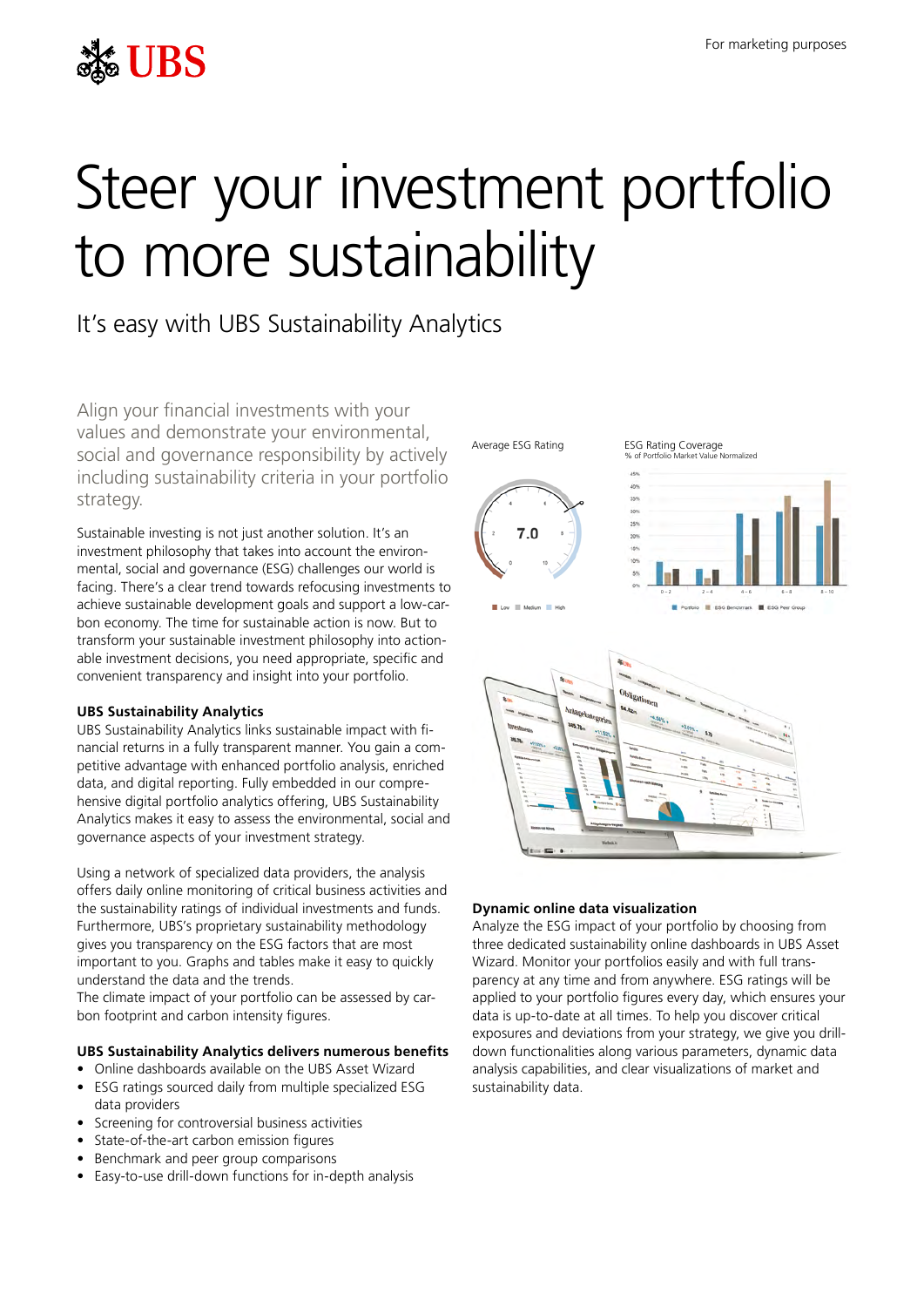

# Steer your investment portfolio to more sustainability

# It's easy with UBS Sustainability Analytics

Align your financial investments with your values and demonstrate your environmental, social and governance responsibility by actively including sustainability criteria in your portfolio strategy.

Sustainable investing is not just another solution. It's an investment philosophy that takes into account the environmental, social and governance (ESG) challenges our world is facing. There's a clear trend towards refocusing investments to achieve sustainable development goals and support a low-carbon economy. The time for sustainable action is now. But to transform your sustainable investment philosophy into actionable investment decisions, you need appropriate, specific and convenient transparency and insight into your portfolio.

## **UBS Sustainability Analytics**

UBS Sustainability Analytics links sustainable impact with financial returns in a fully transparent manner. You gain a competitive advantage with enhanced portfolio analysis, enriched data, and digital reporting. Fully embedded in our comprehensive digital portfolio analytics offering, UBS Sustainability Analytics makes it easy to assess the environmental, social and governance aspects of your investment strategy.

Using a network of specialized data providers, the analysis offers daily online monitoring of critical business activities and the sustainability ratings of individual investments and funds. Furthermore, UBS's proprietary sustainability methodology gives you transparency on the ESG factors that are most important to you. Graphs and tables make it easy to quickly understand the data and the trends.

The climate impact of your portfolio can be assessed by carbon footprint and carbon intensity figures.

## **UBS Sustainability Analytics delivers numerous benefits**

- Online dashboards available on the UBS Asset Wizard
- ESG ratings sourced daily from multiple specialized ESG data providers
- Screening for controversial business activities
- State-of-the-art carbon emission figures
- Benchmark and peer group comparisons
- Easy-to-use drill-down functions for in-depth analysis





Mormalized



# **Dynamic online data visualization**

Analyze the ESG impact of your portfolio by choosing from three dedicated sustainability online dashboards in UBS Asset Wizard. Monitor your portfolios easily and with full transparency at any time and from anywhere. ESG ratings will be applied to your portfolio figures every day, which ensures your data is up-to-date at all times. To help you discover critical exposures and deviations from your strategy, we give you drilldown functionalities along various parameters, dynamic data analysis capabilities, and clear visualizations of market and sustainability data.